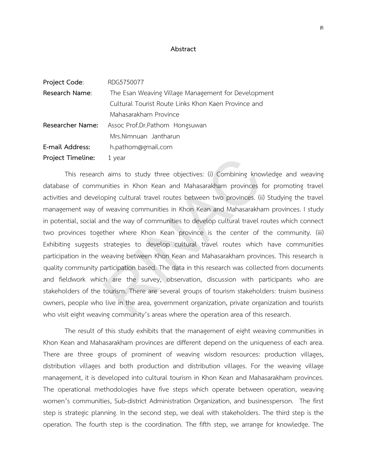## **Abstract**

| Project Code:     | RDG5750077                                          |
|-------------------|-----------------------------------------------------|
| Research Name:    | The Esan Weaving Village Management for Development |
|                   | Cultural Tourist Route Links Khon Kaen Province and |
|                   | Mahasarakham Province                               |
| Researcher Name:  | Assoc Prof.Dr.Pathom Hongsuwan                      |
|                   | Mrs.Nimnuan Jantharun                               |
| E-mail Address:   | h.pathom@gmail.com                                  |
| Project Timeline: | 1 year                                              |

This research aims to study three objectives: (i) Combining knowledge and weaving database of communities in Khon Kean and Mahasarakham provinces for promoting travel activities and developing cultural travel routes between two provinces. (ii) Studying the travel management way of weaving communities in Khon Kean and Mahasarakham provinces. I study in potential, social and the way of communities to develop cultural travel routes which connect two provinces together where Khon Kean province is the center of the community. (iii) Exhibiting suggests strategies to develop cultural travel routes which have communities participation in the weaving between Khon Kean and Mahasarakham provinces. This research is quality community participation based. The data in this research was collected from documents and fieldwork which are the survey, observation, discussion with participants who are stakeholders of the tourism. There are several groups of tourism stakeholders: truism business owners, people who live in the area, government organization, private organization and tourists who visit eight weaving community's areas where the operation area of this research. 1 year<br>
1 aims to study three objectives: (i) Combining know<br>
unities in Khon Kean and Mahasarakham provinces f<br>
6 jienning cultural travel routes between two provinces.<br>
(ii)<br>
1 ienwing communities in Khon Kean and Mahasa

The result of this study exhibits that the management of eight weaving communities in Khon Kean and Mahasarakham provinces are different depend on the uniqueness of each area. There are three groups of prominent of weaving wisdom resources: production villages, distribution villages and both production and distribution villages. For the weaving village management, it is developed into cultural tourism in Khon Kean and Mahasarakham provinces. The operational methodologies have five steps which operate between operation, weaving women's communities, Sub-district Administration Organization, and businessperson. The first step is strategic planning. In the second step, we deal with stakeholders. The third step is the operation. The fourth step is the coordination. The fifth step, we arrange for knowledge. The